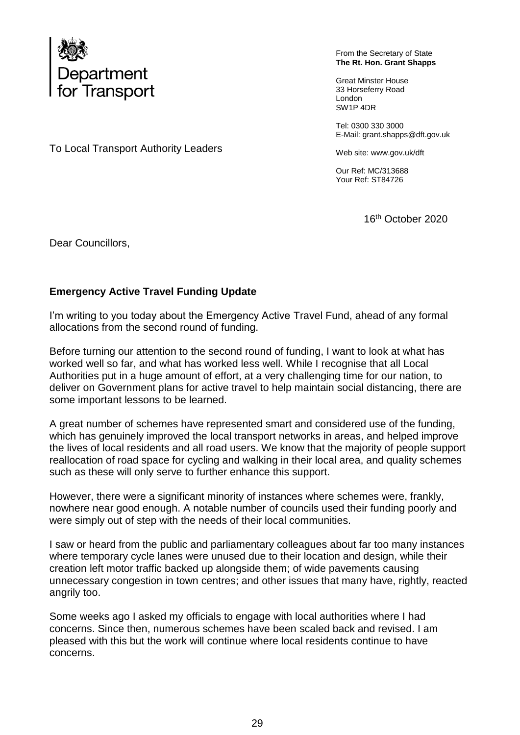

From the Secretary of State **The Rt. Hon. Grant Shapps**

Great Minster House 33 Horseferry Road London SW1P 4DR

Tel: 0300 330 3000 E-Mail: grant.shapps@dft.gov.uk

Web site: www.gov.uk/dft

Our Ref: MC/313688 Your Ref: ST84726

16th October 2020

To Local Transport Authority Leaders

## Dear Councillors,

## **Emergency Active Travel Funding Update**

I'm writing to you today about the Emergency Active Travel Fund, ahead of any formal allocations from the second round of funding.

Before turning our attention to the second round of funding, I want to look at what has worked well so far, and what has worked less well. While I recognise that all Local Authorities put in a huge amount of effort, at a very challenging time for our nation, to deliver on Government plans for active travel to help maintain social distancing, there are some important lessons to be learned.

A great number of schemes have represented smart and considered use of the funding, which has genuinely improved the local transport networks in areas, and helped improve the lives of local residents and all road users. We know that the majority of people support reallocation of road space for cycling and walking in their local area, and quality schemes such as these will only serve to further enhance this support.

However, there were a significant minority of instances where schemes were, frankly, nowhere near good enough. A notable number of councils used their funding poorly and were simply out of step with the needs of their local communities.

I saw or heard from the public and parliamentary colleagues about far too many instances where temporary cycle lanes were unused due to their location and design, while their creation left motor traffic backed up alongside them; of wide pavements causing unnecessary congestion in town centres; and other issues that many have, rightly, reacted angrily too.

Some weeks ago I asked my officials to engage with local authorities where I had concerns. Since then, numerous schemes have been scaled back and revised. I am pleased with this but the work will continue where local residents continue to have concerns.